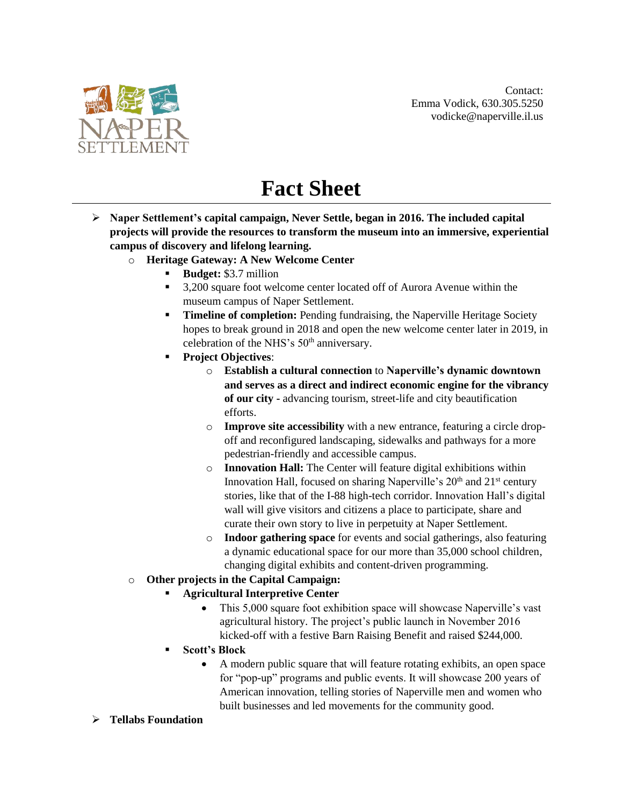

Contact: Emma Vodick, 630.305.5250 vodicke@naperville.il.us

## **Fact Sheet**

- **Naper Settlement's capital campaign, Never Settle, began in 2016. The included capital projects will provide the resources to transform the museum into an immersive, experiential campus of discovery and lifelong learning.**
	- o **Heritage Gateway: A New Welcome Center**
		- **Budget:** \$3.7 million
		- 3,200 square foot welcome center located off of Aurora Avenue within the museum campus of Naper Settlement.
		- **Timeline of completion:** Pending fundraising, the Naperville Heritage Society hopes to break ground in 2018 and open the new welcome center later in 2019, in celebration of the NHS's 50<sup>th</sup> anniversary.
		- **Project Objectives**:
			- o **Establish a cultural connection** to **Naperville's dynamic downtown and serves as a direct and indirect economic engine for the vibrancy of our city -** advancing tourism, street-life and city beautification efforts.
			- o **Improve site accessibility** with a new entrance, featuring a circle dropoff and reconfigured landscaping, sidewalks and pathways for a more pedestrian-friendly and accessible campus.
			- o **Innovation Hall:** The Center will feature digital exhibitions within Innovation Hall, focused on sharing Naperville's  $20<sup>th</sup>$  and  $21<sup>st</sup>$  century stories, like that of the I-88 high-tech corridor. Innovation Hall's digital wall will give visitors and citizens a place to participate, share and curate their own story to live in perpetuity at Naper Settlement.
			- o **Indoor gathering space** for events and social gatherings, also featuring a dynamic educational space for our more than 35,000 school children, changing digital exhibits and content-driven programming.
	- o **Other projects in the Capital Campaign:**
		- **Agricultural Interpretive Center**
			- This 5,000 square foot exhibition space will showcase Naperville's vast agricultural history. The project's public launch in November 2016 kicked-off with a festive Barn Raising Benefit and raised \$244,000.
		- **Scott's Block**
			- A modern public square that will feature rotating exhibits, an open space for "pop-up" programs and public events. It will showcase 200 years of American innovation, telling stories of Naperville men and women who built businesses and led movements for the community good.
- **Tellabs Foundation**